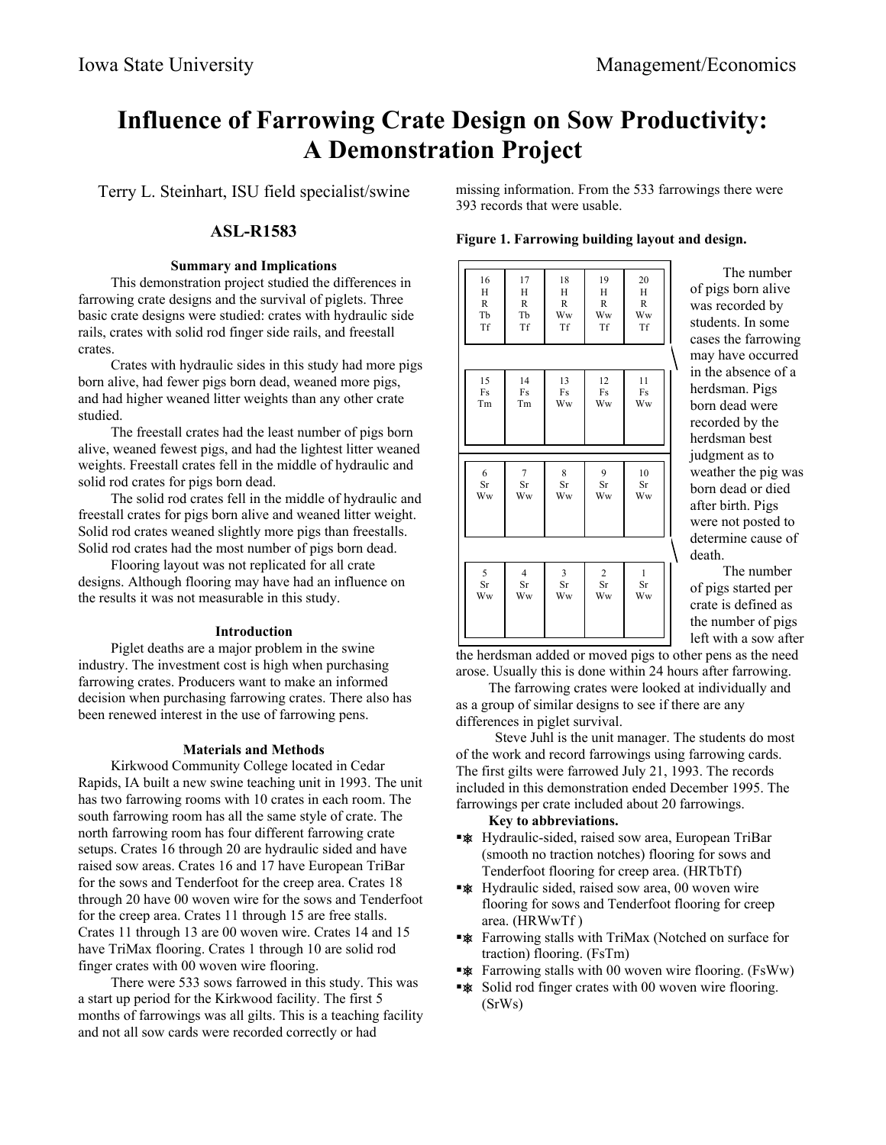# **Influence of Farrowing Crate Design on Sow Productivity: A Demonstration Project**

Terry L. Steinhart, ISU field specialist/swine

# **ASL-R1583**

## **Summary and Implications**

This demonstration project studied the differences in farrowing crate designs and the survival of piglets. Three basic crate designs were studied: crates with hydraulic side rails, crates with solid rod finger side rails, and freestall crates.

Crates with hydraulic sides in this study had more pigs born alive, had fewer pigs born dead, weaned more pigs, and had higher weaned litter weights than any other crate studied.

The freestall crates had the least number of pigs born alive, weaned fewest pigs, and had the lightest litter weaned weights. Freestall crates fell in the middle of hydraulic and solid rod crates for pigs born dead.

The solid rod crates fell in the middle of hydraulic and freestall crates for pigs born alive and weaned litter weight. Solid rod crates weaned slightly more pigs than freestalls. Solid rod crates had the most number of pigs born dead.

Flooring layout was not replicated for all crate designs. Although flooring may have had an influence on the results it was not measurable in this study.

# **Introduction**

Piglet deaths are a major problem in the swine industry. The investment cost is high when purchasing farrowing crates. Producers want to make an informed decision when purchasing farrowing crates. There also has been renewed interest in the use of farrowing pens.

# **Materials and Methods**

Kirkwood Community College located in Cedar Rapids, IA built a new swine teaching unit in 1993. The unit has two farrowing rooms with 10 crates in each room. The south farrowing room has all the same style of crate. The north farrowing room has four different farrowing crate setups. Crates 16 through 20 are hydraulic sided and have raised sow areas. Crates 16 and 17 have European TriBar for the sows and Tenderfoot for the creep area. Crates 18 through 20 have 00 woven wire for the sows and Tenderfoot for the creep area. Crates 11 through 15 are free stalls. Crates 11 through 13 are 00 woven wire. Crates 14 and 15 have TriMax flooring. Crates 1 through 10 are solid rod finger crates with 00 woven wire flooring.

There were 533 sows farrowed in this study. This was a start up period for the Kirkwood facility. The first 5 months of farrowings was all gilts. This is a teaching facility and not all sow cards were recorded correctly or had

missing information. From the 533 farrowings there were 393 records that were usable.

**Figure 1. Farrowing building layout and design.**

| 15<br>14<br>12<br>13<br>11<br>Fs<br>Fs<br>Fs<br>Fs<br>Fs<br>Tm<br>Tm<br>Ww<br>Ww<br>Ww<br>6<br>8<br>9<br>10<br>7<br>$\rm Sr$<br>Sr<br>Sr<br>Sr<br>Sr<br>Ww<br>Ww<br>Ww<br>Ww<br>Ww<br>5<br>$\overline{4}$<br>3<br>$\overline{2}$<br>$\mathbf{1}$<br>Sr<br>Sr<br>Sr<br>Sr<br>Sr<br>Ww<br>Ww<br>Ww<br>Ww<br>Ww | 16<br>H<br>$\mathbb{R}$<br>Tb<br>Tf | 17<br>H<br>$\mathbb{R}$<br>Tb<br>Tf | 18<br>H<br>$\overline{R}$<br>Ww<br>Tf | 19<br>H<br>$\mathbb{R}$<br>Ww<br>Tf | 20<br>H<br>$\mathbb{R}$<br>Ww<br>Tf |
|--------------------------------------------------------------------------------------------------------------------------------------------------------------------------------------------------------------------------------------------------------------------------------------------------------------|-------------------------------------|-------------------------------------|---------------------------------------|-------------------------------------|-------------------------------------|
|                                                                                                                                                                                                                                                                                                              |                                     |                                     |                                       |                                     |                                     |
|                                                                                                                                                                                                                                                                                                              |                                     |                                     |                                       |                                     |                                     |
|                                                                                                                                                                                                                                                                                                              |                                     |                                     |                                       |                                     |                                     |

The number of pigs born alive was recorded by students. In some cases the farrowing may have occurred in the absence of a herdsman. Pigs born dead were recorded by the herdsman best judgment as to weather the pig was born dead or died after birth. Pigs were not posted to determine cause of death.

The number of pigs started per crate is defined as the number of pigs left with a sow after

the herdsman added or moved pigs to other pens as the need arose. Usually this is done within 24 hours after farrowing.

The farrowing crates were looked at individually and as a group of similar designs to see if there are any differences in piglet survival.

Steve Juhl is the unit manager. The students do most of the work and record farrowings using farrowing cards. The first gilts were farrowed July 21, 1993. The records included in this demonstration ended December 1995. The farrowings per crate included about 20 farrowings.

#### **Key to abbreviations.**

- **\*\*** Hydraulic-sided, raised sow area, European TriBar (smooth no traction notches) flooring for sows and Tenderfoot flooring for creep area. (HRTbTf)
- **Example 3** Hydraulic sided, raised sow area, 00 woven wire flooring for sows and Tenderfoot flooring for creep area. (HRWwTf )
- **\*\*** Farrowing stalls with TriMax (Notched on surface for traction) flooring. (FsTm)
- **\*\*** Farrowing stalls with 00 woven wire flooring. (FsWw)
- **\*\*** Solid rod finger crates with 00 woven wire flooring. (SrWs)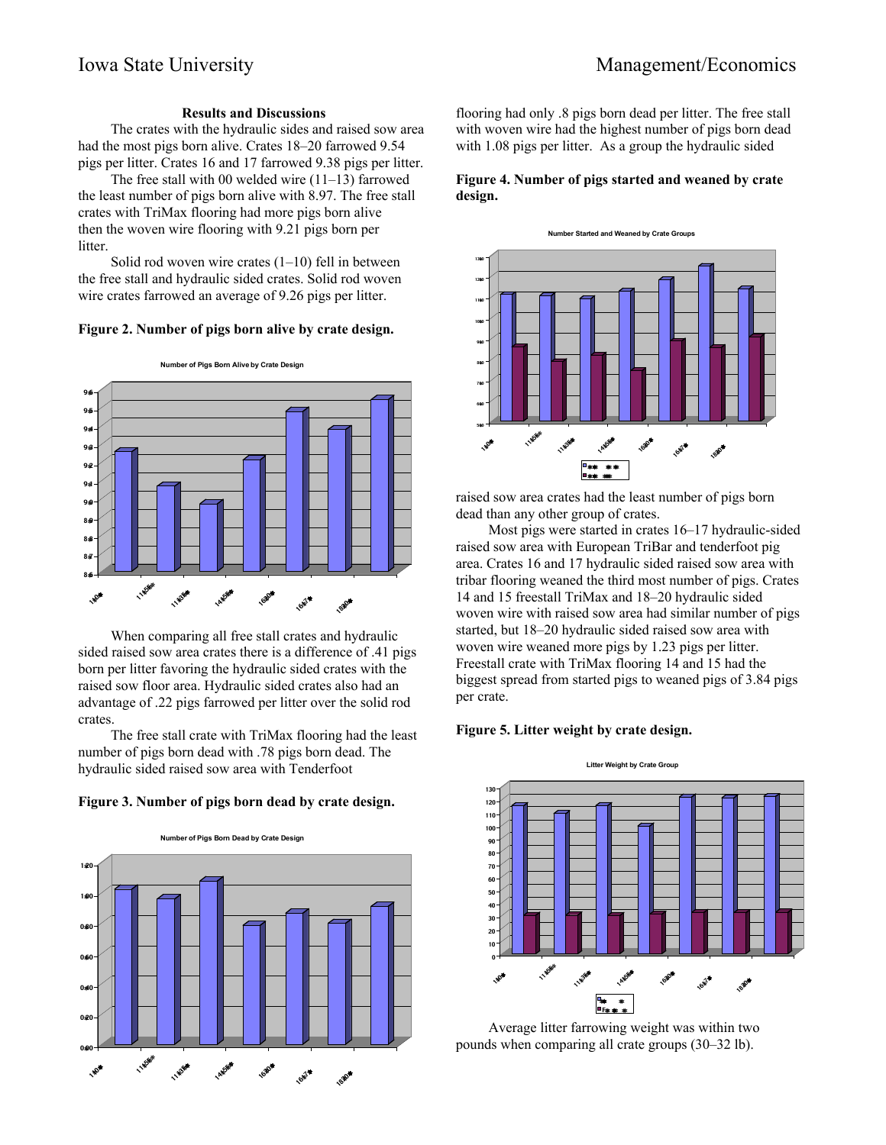#### **Results and Discussions**

The crates with the hydraulic sides and raised sow area had the most pigs born alive. Crates 18–20 farrowed 9.54 pigs per litter. Crates 16 and 17 farrowed 9.38 pigs per litter.

The free stall with 00 welded wire (11–13) farrowed the least number of pigs born alive with 8.97. The free stall crates with TriMax flooring had more pigs born alive then the woven wire flooring with 9.21 pigs born per litter.

Solid rod woven wire crates  $(1-10)$  fell in between the free stall and hydraulic sided crates. Solid rod woven wire crates farrowed an average of 9.26 pigs per litter.

#### **Figure 2. Number of pigs born alive by crate design.**



When comparing all free stall crates and hydraulic sided raised sow area crates there is a difference of .41 pigs born per litter favoring the hydraulic sided crates with the raised sow floor area. Hydraulic sided crates also had an advantage of .22 pigs farrowed per litter over the solid rod crates.

The free stall crate with TriMax flooring had the least number of pigs born dead with .78 pigs born dead. The hydraulic sided raised sow area with Tenderfoot





flooring had only .8 pigs born dead per litter. The free stall with woven wire had the highest number of pigs born dead with 1.08 pigs per litter. As a group the hydraulic sided

#### **Figure 4. Number of pigs started and weaned by crate design.**



raised sow area crates had the least number of pigs born dead than any other group of crates.

Most pigs were started in crates 16–17 hydraulic-sided raised sow area with European TriBar and tenderfoot pig area. Crates 16 and 17 hydraulic sided raised sow area with tribar flooring weaned the third most number of pigs. Crates 14 and 15 freestall TriMax and 18–20 hydraulic sided woven wire with raised sow area had similar number of pigs started, but 18–20 hydraulic sided raised sow area with woven wire weaned more pigs by 1.23 pigs per litter. Freestall crate with TriMax flooring 14 and 15 had the biggest spread from started pigs to weaned pigs of 3.84 pigs per crate.

#### **Figure 5. Litter weight by crate design.**



Average litter farrowing weight was within two pounds when comparing all crate groups (30–32 lb).